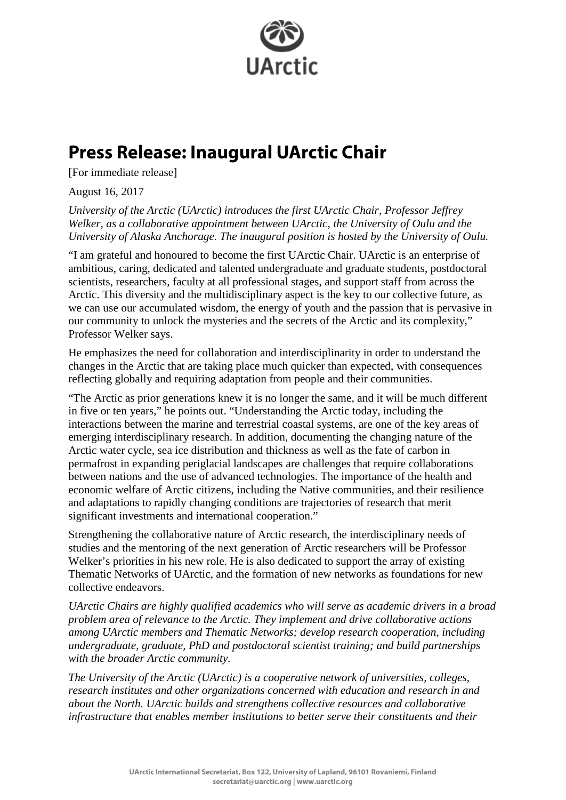

## **Press Release: Inaugural UArctic Chair**

[For immediate release]

August 16, 2017

*University of the Arctic (UArctic) introduces the first UArctic Chair, Professor Jeffrey Welker, as a collaborative appointment between UArctic, the University of Oulu and the University of Alaska Anchorage. The inaugural position is hosted by the University of Oulu.* 

"I am grateful and honoured to become the first UArctic Chair. UArctic is an enterprise of ambitious, caring, dedicated and talented undergraduate and graduate students, postdoctoral scientists, researchers, faculty at all professional stages, and support staff from across the Arctic. This diversity and the multidisciplinary aspect is the key to our collective future, as we can use our accumulated wisdom, the energy of youth and the passion that is pervasive in our community to unlock the mysteries and the secrets of the Arctic and its complexity," Professor Welker says.

He emphasizes the need for collaboration and interdisciplinarity in order to understand the changes in the Arctic that are taking place much quicker than expected, with consequences reflecting globally and requiring adaptation from people and their communities.

"The Arctic as prior generations knew it is no longer the same, and it will be much different in five or ten years," he points out. "Understanding the Arctic today, including the interactions between the marine and terrestrial coastal systems, are one of the key areas of emerging interdisciplinary research. In addition, documenting the changing nature of the Arctic water cycle, sea ice distribution and thickness as well as the fate of carbon in permafrost in expanding periglacial landscapes are challenges that require collaborations between nations and the use of advanced technologies. The importance of the health and economic welfare of Arctic citizens, including the Native communities, and their resilience and adaptations to rapidly changing conditions are trajectories of research that merit significant investments and international cooperation."

Strengthening the collaborative nature of Arctic research, the interdisciplinary needs of studies and the mentoring of the next generation of Arctic researchers will be Professor Welker's priorities in his new role. He is also dedicated to support the array of existing Thematic Networks of UArctic, and the formation of new networks as foundations for new collective endeavors.

*UArctic Chairs are highly qualified academics who will serve as academic drivers in a broad problem area of relevance to the Arctic. They implement and drive collaborative actions among UArctic members and Thematic Networks; develop research cooperation, including undergraduate, graduate, PhD and postdoctoral scientist training; and build partnerships with the broader Arctic community.* 

*The University of the Arctic (UArctic) is a cooperative network of universities, colleges, research institutes and other organizations concerned with education and research in and about the North. UArctic builds and strengthens collective resources and collaborative infrastructure that enables member institutions to better serve their constituents and their*